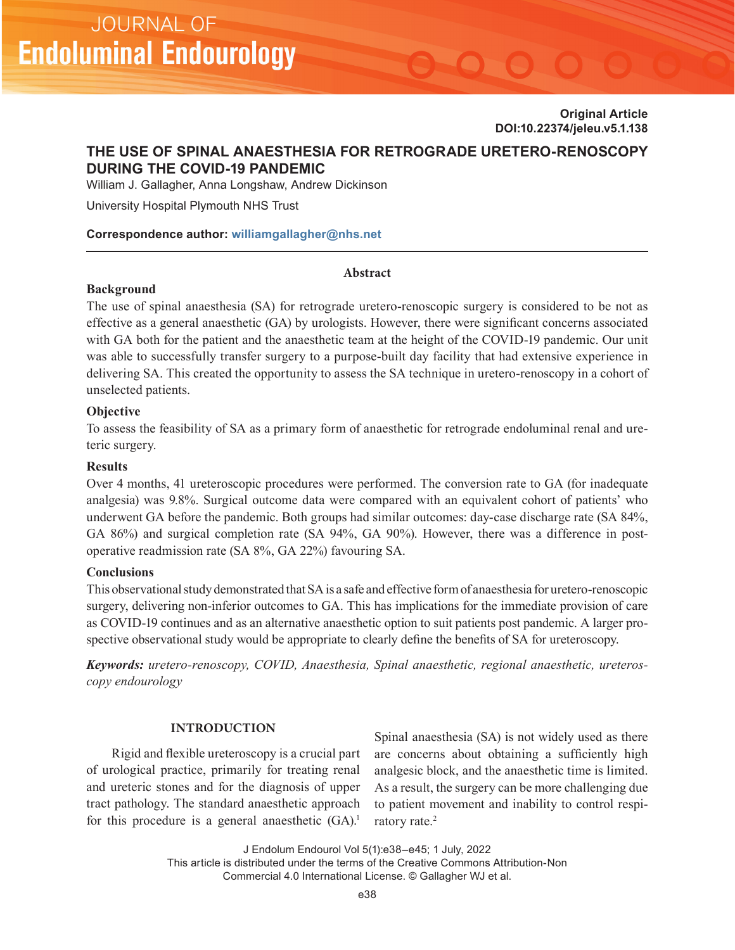**Original Article DOI:10.22374/jeleu.v5.1.138**

# **THE USE OF SPINAL ANAESTHESIA FOR RETROGRADE URETERO-RENOSCOPY DURING THE COVID-19 PANDEMIC**

William J. Gallagher, Anna Longshaw, Andrew Dickinson

University Hospital Plymouth NHS Trust

# **Correspondence author: [williamgallagher@nhs.net](mailto:williamgallagher@nhs.net)**

### **Abstract**

#### **Background**

The use of spinal anaesthesia (SA) for retrograde uretero-renoscopic surgery is considered to be not as effective as a general anaesthetic (GA) by urologists. However, there were significant concerns associated with GA both for the patient and the anaesthetic team at the height of the COVID-19 pandemic. Our unit was able to successfully transfer surgery to a purpose-built day facility that had extensive experience in delivering SA. This created the opportunity to assess the SA technique in uretero-renoscopy in a cohort of unselected patients.

# **Objective**

To assess the feasibility of SA as a primary form of anaesthetic for retrograde endoluminal renal and ureteric surgery.

# **Results**

Over 4 months, 41 ureteroscopic procedures were performed. The conversion rate to GA (for inadequate analgesia) was 9.8%. Surgical outcome data were compared with an equivalent cohort of patients' who underwent GA before the pandemic. Both groups had similar outcomes: day-case discharge rate (SA 84%, GA 86%) and surgical completion rate (SA 94%, GA 90%). However, there was a difference in postoperative readmission rate (SA 8%, GA 22%) favouring SA.

# **Conclusions**

This observational study demonstrated that SA is a safe and effective form of anaesthesia for uretero-renoscopic surgery, delivering non-inferior outcomes to GA. This has implications for the immediate provision of care as COVID-19 continues and as an alternative anaesthetic option to suit patients post pandemic. A larger prospective observational study would be appropriate to clearly define the benefits of SA for ureteroscopy.

*Keywords: uretero-renoscopy, COVID, Anaesthesia, Spinal anaesthetic, regional anaesthetic, ureteroscopy endourology*

# **INTRODUCTION**

Rigid and flexible ureteroscopy is a crucial part of urological practice, primarily for treating renal and ureteric stones and for the diagnosis of upper tract pathology. The standard anaesthetic approach for this procedure is a general anaesthetic  $(GA)$ .<sup>1</sup>

Spinal anaesthesia (SA) is not widely used as there are concerns about obtaining a sufficiently high analgesic block, and the anaesthetic time is limited. As a result, the surgery can be more challenging due to patient movement and inability to control respiratory rate.<sup>2</sup>

J Endolum Endourol Vol 5(1):e38–e45; 1 July, 2022

This article is distributed under the terms of the Creative Commons Attribution-Non Commercial 4.0 International License. © Gallagher WJ et al.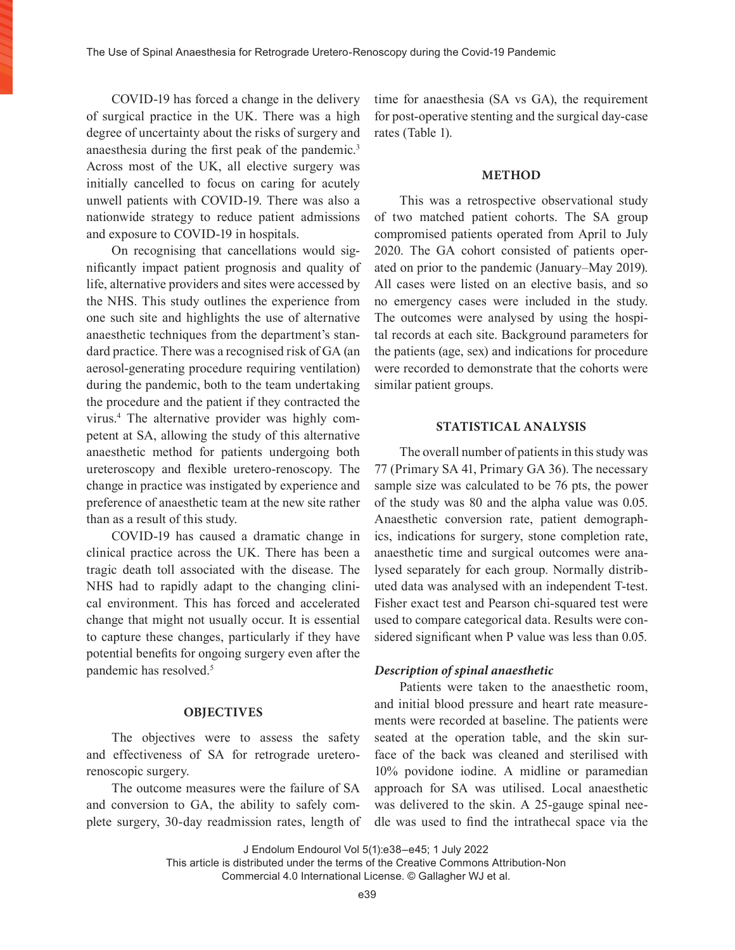COVID-19 has forced a change in the delivery of surgical practice in the UK. There was a high degree of uncertainty about the risks of surgery and anaesthesia during the first peak of the pandemic.<sup>3</sup> Across most of the UK, all elective surgery was initially cancelled to focus on caring for acutely unwell patients with COVID-19. There was also a nationwide strategy to reduce patient admissions and exposure to COVID-19 in hospitals.

On recognising that cancellations would significantly impact patient prognosis and quality of life, alternative providers and sites were accessed by the NHS. This study outlines the experience from one such site and highlights the use of alternative anaesthetic techniques from the department's standard practice. There was a recognised risk of GA (an aerosol-generating procedure requiring ventilation) during the pandemic, both to the team undertaking the procedure and the patient if they contracted the virus.4 The alternative provider was highly competent at SA, allowing the study of this alternative anaesthetic method for patients undergoing both ureteroscopy and flexible uretero-renoscopy. The change in practice was instigated by experience and preference of anaesthetic team at the new site rather than as a result of this study.

COVID-19 has caused a dramatic change in clinical practice across the UK. There has been a tragic death toll associated with the disease. The NHS had to rapidly adapt to the changing clinical environment. This has forced and accelerated change that might not usually occur. It is essential to capture these changes, particularly if they have potential benefits for ongoing surgery even after the pandemic has resolved.<sup>5</sup>

# **OBJECTIVES**

The objectives were to assess the safety and effectiveness of SA for retrograde ureterorenoscopic surgery.

The outcome measures were the failure of SA and conversion to GA, the ability to safely complete surgery, 30-day readmission rates, length of time for anaesthesia (SA vs GA), the requirement for post-operative stenting and the surgical day-case rates (Table 1).

### **METHOD**

This was a retrospective observational study of two matched patient cohorts. The SA group compromised patients operated from April to July 2020. The GA cohort consisted of patients operated on prior to the pandemic (January–May 2019). All cases were listed on an elective basis, and so no emergency cases were included in the study. The outcomes were analysed by using the hospital records at each site. Background parameters for the patients (age, sex) and indications for procedure were recorded to demonstrate that the cohorts were similar patient groups.

### **STATISTICAL ANALYSIS**

The overall number of patients in this study was 77 (Primary SA 41, Primary GA 36). The necessary sample size was calculated to be 76 pts, the power of the study was 80 and the alpha value was 0.05. Anaesthetic conversion rate, patient demographics, indications for surgery, stone completion rate, anaesthetic time and surgical outcomes were analysed separately for each group. Normally distributed data was analysed with an independent T-test. Fisher exact test and Pearson chi-squared test were used to compare categorical data. Results were considered significant when P value was less than 0.05.

#### *Description of spinal anaesthetic*

Patients were taken to the anaesthetic room, and initial blood pressure and heart rate measurements were recorded at baseline. The patients were seated at the operation table, and the skin surface of the back was cleaned and sterilised with 10% povidone iodine. A midline or paramedian approach for SA was utilised. Local anaesthetic was delivered to the skin. A 25-gauge spinal needle was used to find the intrathecal space via the

J Endolum Endourol Vol 5(1):e38–e45; 1 July 2022

This article is distributed under the terms of the Creative Commons Attribution-Non Commercial 4.0 International License. © Gallagher WJ et al.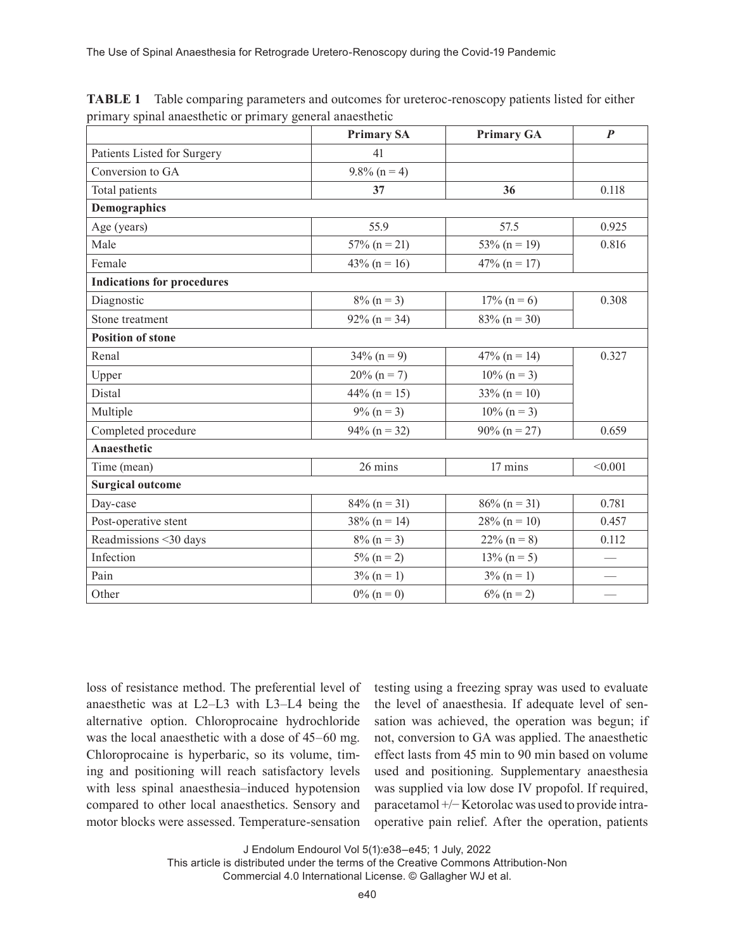|                                   | <b>Primary SA</b> | <b>Primary GA</b> | $\boldsymbol{P}$ |
|-----------------------------------|-------------------|-------------------|------------------|
| Patients Listed for Surgery       | 41                |                   |                  |
| Conversion to GA                  | $9.8\%$ (n = 4)   |                   |                  |
| Total patients                    | 37                | 36                | 0.118            |
| <b>Demographics</b>               |                   |                   |                  |
| Age (years)                       | 55.9              | 57.5              | 0.925            |
| Male                              | $57\%$ (n = 21)   | $53\% (n = 19)$   | 0.816            |
| Female                            | $43\% (n = 16)$   | $47\%$ (n = 17)   |                  |
| <b>Indications for procedures</b> |                   |                   |                  |
| Diagnostic                        | $8\%$ (n = 3)     | $17\% (n = 6)$    | 0.308            |
| Stone treatment                   | $92\% (n = 34)$   | $83\% (n = 30)$   |                  |
| <b>Position of stone</b>          |                   |                   |                  |
| Renal                             | $34\% (n = 9)$    | $47\%$ (n = 14)   | 0.327            |
| Upper                             | $20\% (n = 7)$    | $10\% (n = 3)$    |                  |
| Distal                            | $44\%$ (n = 15)   | $33\% (n = 10)$   |                  |
| Multiple                          | $9\% (n = 3)$     | $10\% (n = 3)$    |                  |
| Completed procedure               | $94\%$ (n = 32)   | $90\% (n = 27)$   | 0.659            |
| Anaesthetic                       |                   |                   |                  |
| Time (mean)                       | 26 mins           | 17 mins           | < 0.001          |
| <b>Surgical outcome</b>           |                   |                   |                  |
| Day-case                          | $84\%$ (n = 31)   | $86\%$ (n = 31)   | 0.781            |
| Post-operative stent              | $38\% (n = 14)$   | $28\% (n = 10)$   | 0.457            |
| Readmissions <30 days             | $8\% (n = 3)$     | $22\% (n = 8)$    | 0.112            |
| Infection                         | $5\%$ (n = 2)     | $13\% (n=5)$      |                  |
| Pain                              | $3\% (n = 1)$     | $3\% (n = 1)$     | $\frac{1}{2}$    |
| Other                             | $0\%$ (n = 0)     | $6\%$ (n = 2)     |                  |

**TABLE 1** Table comparing parameters and outcomes for ureteroc-renoscopy patients listed for either primary spinal anaesthetic or primary general anaesthetic

loss of resistance method. The preferential level of anaesthetic was at L2–L3 with L3–L4 being the alternative option. Chloroprocaine hydrochloride was the local anaesthetic with a dose of 45–60 mg. Chloroprocaine is hyperbaric, so its volume, timing and positioning will reach satisfactory levels with less spinal anaesthesia–induced hypotension compared to other local anaesthetics. Sensory and motor blocks were assessed. Temperature-sensation

testing using a freezing spray was used to evaluate the level of anaesthesia. If adequate level of sensation was achieved, the operation was begun; if not, conversion to GA was applied. The anaesthetic effect lasts from 45 min to 90 min based on volume used and positioning. Supplementary anaesthesia was supplied via low dose IV propofol. If required, paracetamol +/− Ketorolac was used to provide intraoperative pain relief. After the operation, patients

J Endolum Endourol Vol 5(1):e38–e45; 1 July, 2022

This article is distributed under the terms of the Creative Commons Attribution-Non Commercial 4.0 International License. © Gallagher WJ et al.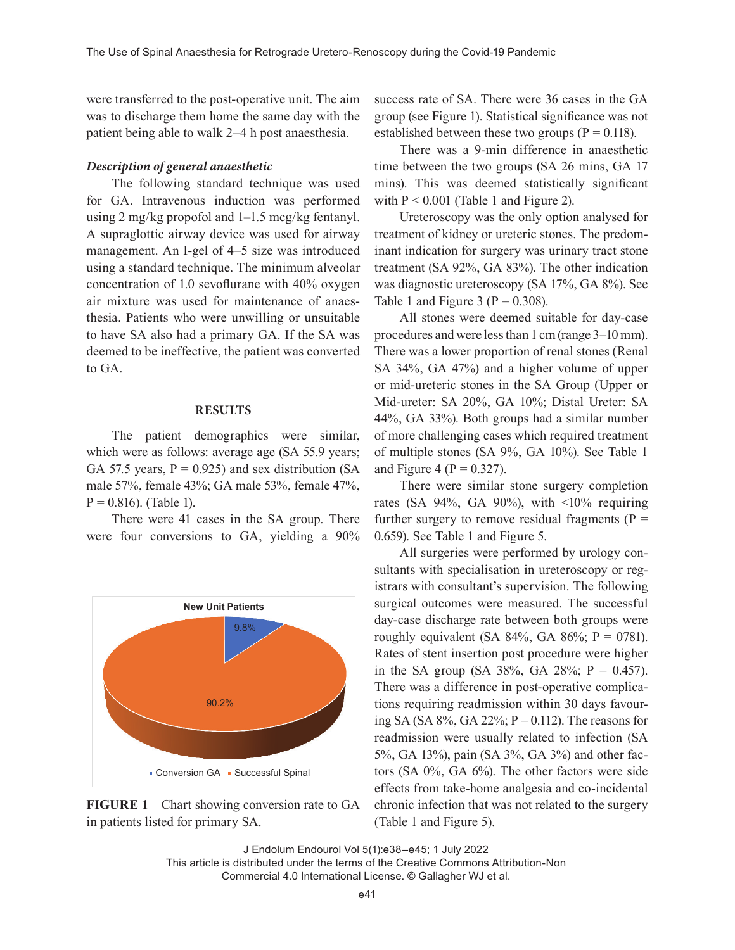were transferred to the post-operative unit. The aim was to discharge them home the same day with the patient being able to walk 2–4 h post anaesthesia.

# *Description of general anaesthetic*

The following standard technique was used for GA. Intravenous induction was performed using 2 mg/kg propofol and 1–1.5 mcg/kg fentanyl. A supraglottic airway device was used for airway management. An I-gel of 4–5 size was introduced using a standard technique. The minimum alveolar concentration of 1.0 sevoflurane with 40% oxygen air mixture was used for maintenance of anaesthesia. Patients who were unwilling or unsuitable to have SA also had a primary GA. If the SA was deemed to be ineffective, the patient was converted to GA.

#### **RESULTS**

The patient demographics were similar, which were as follows: average age (SA 55.9 years; GA 57.5 years,  $P = 0.925$ ) and sex distribution (SA male 57%, female 43%; GA male 53%, female 47%,  $P = 0.816$ . (Table 1).

There were 41 cases in the SA group. There were four conversions to GA, yielding a 90%



**FIGURE 1** Chart showing conversion rate to GA in patients listed for primary SA.

success rate of SA. There were 36 cases in the GA group (see Figure 1). Statistical significance was not established between these two groups ( $P = 0.118$ ).

There was a 9-min difference in anaesthetic time between the two groups (SA 26 mins, GA 17 mins). This was deemed statistically significant with  $P < 0.001$  (Table 1 and Figure 2).

Ureteroscopy was the only option analysed for treatment of kidney or ureteric stones. The predominant indication for surgery was urinary tract stone treatment (SA 92%, GA 83%). The other indication was diagnostic ureteroscopy (SA 17%, GA 8%). See Table 1 and Figure 3 ( $P = 0.308$ ).

All stones were deemed suitable for day-case procedures and were less than 1 cm (range 3–10mm). There was a lower proportion of renal stones (Renal SA 34%, GA 47%) and a higher volume of upper or mid-ureteric stones in the SA Group (Upper or Mid-ureter: SA 20%, GA 10%; Distal Ureter: SA 44%, GA 33%). Both groups had a similar number of more challenging cases which required treatment of multiple stones (SA 9%, GA 10%). See Table 1 and Figure 4 ( $P = 0.327$ ).

There were similar stone surgery completion rates (SA 94%, GA 90%), with  $\leq 10\%$  requiring further surgery to remove residual fragments ( $P =$ 0.659). See Table 1 and Figure 5.

All surgeries were performed by urology consultants with specialisation in ureteroscopy or registrars with consultant's supervision. The following surgical outcomes were measured. The successful day-case discharge rate between both groups were roughly equivalent (SA 84%, GA 86%;  $P = 0781$ ). Rates of stent insertion post procedure were higher in the SA group (SA 38%, GA 28%;  $P = 0.457$ ). There was a difference in post-operative complications requiring readmission within 30 days favouring SA (SA 8%, GA 22%;  $P = 0.112$ ). The reasons for readmission were usually related to infection (SA 5%, GA 13%), pain (SA 3%, GA 3%) and other factors (SA 0%, GA 6%). The other factors were side effects from take-home analgesia and co-incidental chronic infection that was not related to the surgery (Table 1 and Figure 5).

J Endolum Endourol Vol 5(1):e38–e45; 1 July 2022

This article is distributed under the terms of the Creative Commons Attribution-Non Commercial 4.0 International License. © Gallagher WJ et al.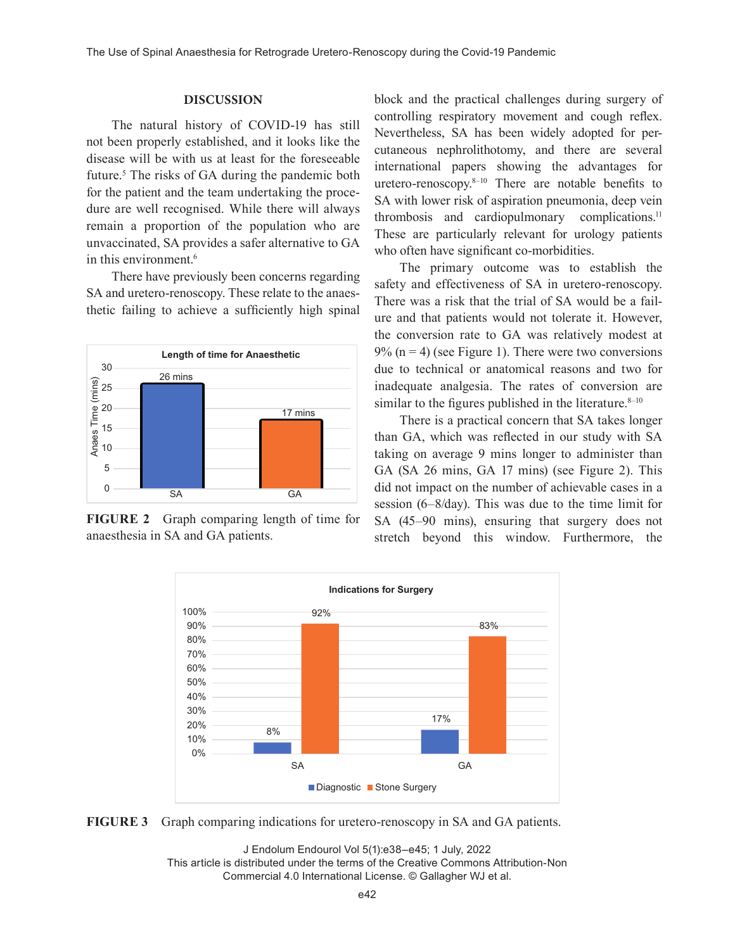# **DISCUSSION**

The natural history of COVID-19 has still not been properly established, and it looks like the disease will be with us at least for the foreseeable future.<sup>5</sup> The risks of GA during the pandemic both for the patient and the team undertaking the procedure are well recognised. While there will always remain a proportion of the population who are unvaccinated, SA provides a safer alternative to GA in this environment.6

There have previously been concerns regarding SA and uretero-renoscopy. These relate to the anaesthetic failing to achieve a sufficiently high spinal



**FIGURE 2** Graph comparing length of time for anaesthesia in SA and GA patients.

block and the practical challenges during surgery of controlling respiratory movement and cough reflex. Nevertheless, SA has been widely adopted for percutaneous nephrolithotomy, and there are several international papers showing the advantages for uretero-renoscopy.8–10 There are notable benefits to SA with lower risk of aspiration pneumonia, deep vein thrombosis and cardiopulmonary complications.<sup>11</sup> These are particularly relevant for urology patients who often have significant co-morbidities.

The primary outcome was to establish the safety and effectiveness of SA in uretero-renoscopy. There was a risk that the trial of SA would be a failure and that patients would not tolerate it. However, the conversion rate to GA was relatively modest at  $9\%$  (n = 4) (see Figure 1). There were two conversions due to technical or anatomical reasons and two for inadequate analgesia. The rates of conversion are similar to the figures published in the literature. $8-10$ 

There is a practical concern that SA takes longer than GA, which was reflected in our study with SA taking on average 9 mins longer to administer than GA (SA 26 mins, GA 17 mins) (see Figure 2). This did not impact on the number of achievable cases in a session (6–8/day). This was due to the time limit for SA (45–90 mins), ensuring that surgery does not stretch beyond this window. Furthermore, the



**FIGURE 3** Graph comparing indications for uretero-renoscopy in SA and GA patients.

J Endolum Endourol Vol 5(1):e38–e45; 1 July, 2022 This article is distributed under the terms of the Creative Commons Attribution-Non Commercial 4.0 International License. © Gallagher WJ et al.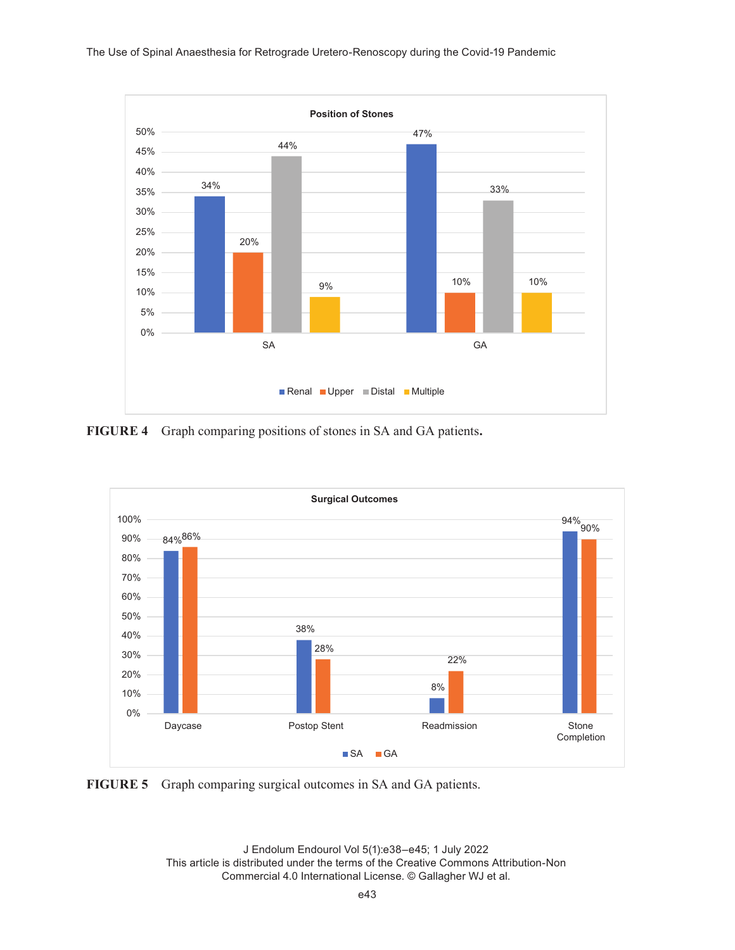#### The Use of Spinal Anaesthesia for Retrograde Uretero-Renoscopy during the Covid-19 Pandemic



**FIGURE 4** Graph comparing positions of stones in SA and GA patients**.**



**FIGURE 5** Graph comparing surgical outcomes in SA and GA patients.

J Endolum Endourol Vol 5(1):e38–e45; 1 July 2022 This article is distributed under the terms of the Creative Commons Attribution-Non Commercial 4.0 International License. © Gallagher WJ et al.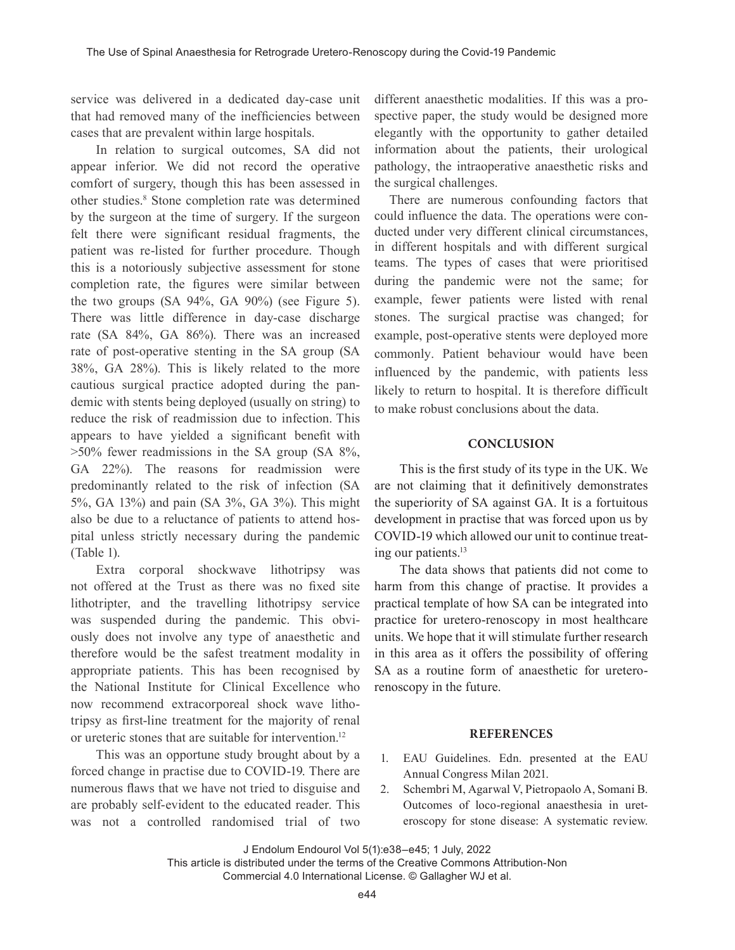service was delivered in a dedicated day-case unit that had removed many of the inefficiencies between cases that are prevalent within large hospitals.

In relation to surgical outcomes, SA did not appear inferior. We did not record the operative comfort of surgery, though this has been assessed in other studies.<sup>8</sup> Stone completion rate was determined by the surgeon at the time of surgery. If the surgeon felt there were significant residual fragments, the patient was re-listed for further procedure. Though this is a notoriously subjective assessment for stone completion rate, the figures were similar between the two groups  $(SA 94\%, GA 90\%)$  (see Figure 5). There was little difference in day-case discharge rate (SA 84%, GA 86%). There was an increased rate of post-operative stenting in the SA group (SA 38%, GA 28%). This is likely related to the more cautious surgical practice adopted during the pandemic with stents being deployed (usually on string) to reduce the risk of readmission due to infection. This appears to have yielded a significant benefit with >50% fewer readmissions in the SA group (SA 8%, GA 22%). The reasons for readmission were predominantly related to the risk of infection (SA 5%, GA 13%) and pain (SA 3%, GA 3%). This might also be due to a reluctance of patients to attend hospital unless strictly necessary during the pandemic (Table 1).

Extra corporal shockwave lithotripsy was not offered at the Trust as there was no fixed site lithotripter, and the travelling lithotripsy service was suspended during the pandemic. This obviously does not involve any type of anaesthetic and therefore would be the safest treatment modality in appropriate patients. This has been recognised by the National Institute for Clinical Excellence who now recommend extracorporeal shock wave lithotripsy as first-line treatment for the majority of renal or ureteric stones that are suitable for intervention.<sup>12</sup>

This was an opportune study brought about by a forced change in practise due to COVID-19. There are numerous flaws that we have not tried to disguise and are probably self-evident to the educated reader. This was not a controlled randomised trial of two different anaesthetic modalities. If this was a prospective paper, the study would be designed more elegantly with the opportunity to gather detailed information about the patients, their urological pathology, the intraoperative anaesthetic risks and the surgical challenges.

 There are numerous confounding factors that could influence the data. The operations were conducted under very different clinical circumstances, in different hospitals and with different surgical teams. The types of cases that were prioritised during the pandemic were not the same; for example, fewer patients were listed with renal stones. The surgical practise was changed; for example, post-operative stents were deployed more commonly. Patient behaviour would have been influenced by the pandemic, with patients less likely to return to hospital. It is therefore difficult to make robust conclusions about the data.

# **CONCLUSION**

This is the first study of its type in the UK. We are not claiming that it definitively demonstrates the superiority of SA against GA. It is a fortuitous development in practise that was forced upon us by COVID-19 which allowed our unit to continue treating our patients.<sup>13</sup>

The data shows that patients did not come to harm from this change of practise. It provides a practical template of how SA can be integrated into practice for uretero-renoscopy in most healthcare units. We hope that it will stimulate further research in this area as it offers the possibility of offering SA as a routine form of anaesthetic for ureterorenoscopy in the future.

# **REFERENCES**

- 1. EAU Guidelines. Edn. presented at the EAU Annual Congress Milan 2021.
- 2. Schembri M, Agarwal V, Pietropaolo A, Somani B. Outcomes of loco-regional anaesthesia in ureteroscopy for stone disease: A systematic review.

J Endolum Endourol Vol 5(1):e38–e45; 1 July, 2022

This article is distributed under the terms of the Creative Commons Attribution-Non Commercial 4.0 International License. © Gallagher WJ et al.